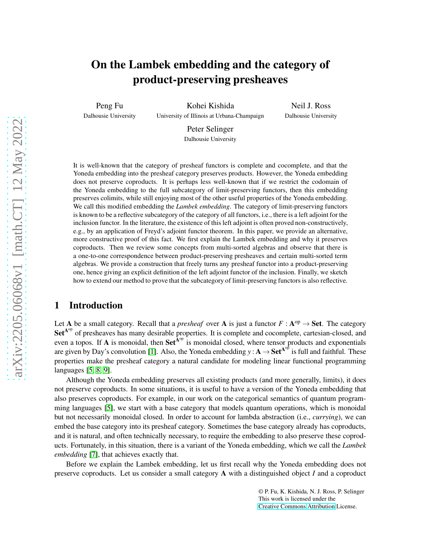# On the Lambek embedding and the category of product-preserving presheaves

Peng Fu Dalhousie University

Kohei Kishida University of Illinois at Urbana-Champaign

Neil J. Ross Dalhousie University

Peter Selinger Dalhousie University

It is well-known that the category of presheaf functors is complete and cocomplete, and that the Yoneda embedding into the presheaf category preserves products. However, the Yoneda embedding does not preserve coproducts. It is perhaps less well-known that if we restrict the codomain of the Yoneda embedding to the full subcategory of limit-preserving functors, then this embedding preserves colimits, while still enjoying most of the other useful properties of the Yoneda embedding. We call this modified embedding the *Lambek embedding*. The category of limit-preserving functors is known to be a reflective subcategory of the category of all functors, i.e., there is a left adjoint for the inclusion functor. In the literature, the existence of this left adjoint is often proved non-constructively, e.g., by an application of Freyd's adjoint functor theorem. In this paper, we provide an alternative, more constructive proof of this fact. We first explain the Lambek embedding and why it preserves coproducts. Then we review some concepts from multi-sorted algebras and observe that there is a one-to-one correspondence between product-preserving presheaves and certain multi-sorted term algebras. We provide a construction that freely turns any presheaf functor into a product-preserving one, hence giving an explicit definition of the left adjoint functor of the inclusion. Finally, we sketch how to extend our method to prove that the subcategory of limit-preserving functors is also reflective.

# 1 Introduction

Let A be a small category. Recall that a *presheaf* over A is just a functor  $F : A^{op} \to Set$ . The category Set<sup>A°</sup> of presheaves has many desirable properties. It is complete and cocomplete, cartesian-closed, and even a topos. If A is monoidal, then  $\text{Set}^{\hat{A}^{op}}$  is monoidal closed, where tensor products and exponentials are given by Day's convolution [\[1\]](#page-8-0). Also, the Yoneda embedding  $y : A \to Set^{A^{op}}$  is full and faithful. These properties make the presheaf category a natural candidate for modeling linear functional programming languages [\[5,](#page-8-1) [8,](#page-8-2) [9\]](#page-9-0).

Although the Yoneda embedding preserves all existing products (and more generally, limits), it does not preserve coproducts. In some situations, it is useful to have a version of the Yoneda embedding that also preserves coproducts. For example, in our work on the categorical semantics of quantum programming languages [\[5\]](#page-8-1), we start with a base category that models quantum operations, which is monoidal but not necessarily monoidal closed. In order to account for lambda abstraction (i.e., *currying*), we can embed the base category into its presheaf category. Sometimes the base category already has coproducts, and it is natural, and often technically necessary, to require the embedding to also preserve these coproducts. Fortunately, in this situation, there is a variant of the Yoneda embedding, which we call the *Lambek embedding* [\[7\]](#page-8-3), that achieves exactly that.

Before we explain the Lambek embedding, let us first recall why the Yoneda embedding does not preserve coproducts. Let us consider a small category A with a distinguished object *I* and a coproduct

> © P. Fu, K. Kishida, N. J. Ross, P. Selinger This work is licensed under the [Creative Commons](https://creativecommons.org) [Attribution](https://creativecommons.org/licenses/by/4.0/) License.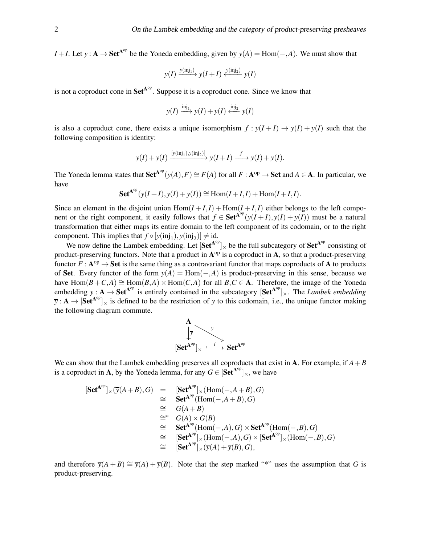*I* + *I*. Let *y* :  $\mathbf{A} \to \mathbf{Set}^{\mathbf{A}^{op}}$  be the Yoneda embedding, given by  $y(A) = \text{Hom}(-,A)$ . We must show that

$$
y(I) \xrightarrow{y(\text{inj}_1)} y(I+I) \xleftarrow{y(\text{inj}_2)} y(I)
$$

is not a coproduct cone in  $\mathbf{Set}^{A^{op}}$ . Suppose it is a coproduct cone. Since we know that

$$
y(I) \xrightarrow{\text{inj}_1} y(I) + y(I) \xleftarrow{\text{inj}_2} y(I)
$$

is also a coproduct cone, there exists a unique isomorphism  $f : y(I+I) \rightarrow y(I) + y(I)$  such that the following composition is identity:

$$
y(I) + y(I) \xrightarrow{[y(inj_1), y(inj_2)]} y(I+I) \xrightarrow{f} y(I) + y(I).
$$

The Yoneda lemma states that  $\mathbf{Set}^{\mathbf{A}^{op}}(y(A), F) \cong F(A)$  for all  $F : \mathbf{A}^{op} \to \mathbf{Set}$  and  $A \in \mathbf{A}$ . In particular, we have

$$
\mathbf{Set}^{\mathbf{A}^{\mathrm{op}}}(y(I+I),y(I)+y(I)) \cong \mathrm{Hom}(I+I,I) + \mathrm{Hom}(I+I,I).
$$

Since an element in the disjoint union  $Hom(I + I, I) + Hom(I + I, I)$  either belongs to the left component or the right component, it easily follows that  $f \in \text{Set}^{A^{op}}(y(I+I),y(I)+y(I))$  must be a natural transformation that either maps its entire domain to the left component of its codomain, or to the right component. This implies that  $f \circ [y(\text{inj}_1), y(\text{inj}_2)] \neq \text{id}$ .

We now define the Lambek embedding. Let  $[Set^{A^{op}}]_{\times}$  be the full subcategory of  $Set^{A^{op}}$  consisting of product-preserving functors. Note that a product in  $A^{op}$  is a coproduct in A, so that a product-preserving functor  $F : A^{op} \to Set$  is the same thing as a contravariant functor that maps coproducts of A to products of Set. Every functor of the form  $y(A) = Hom(-, A)$  is product-preserving in this sense, because we have  $Hom(B+C,A) \cong Hom(B,A) \times Hom(C,A)$  for all  $B,C \in \mathbf{A}$ . Therefore, the image of the Yoneda embedding  $y : A \to Set^{A^{op}}$  is entirely contained in the subcategory  $[Set^{A^{op}}]_{\times}$ . The *Lambek embedding*  $\overline{y}$  :  $A \rightarrow [Set^{A^{op}}]_{\times}$  is defined to be the restriction of *y* to this codomain, i.e., the unique functor making the following diagram commute.



We can show that the Lambek embedding preserves all coproducts that exist in **A**. For example, if  $A + B$ is a coproduct in **A**, by the Yoneda lemma, for any  $G \in [Set^{A^{op}}]_{\times}$ , we have

$$
[\mathbf{Set}^{\mathbf{A}^{op}}]_{\times}(\overline{\mathbf{y}}(A+B), G) = [\mathbf{Set}^{\mathbf{A}^{op}}]_{\times}(\text{Hom}(-,A+B), G)
$$
  
\n
$$
\cong \mathbf{Set}^{\mathbf{A}^{op}}(\text{Hom}(-,A+B), G)
$$
  
\n
$$
\cong G(A+B)
$$
  
\n
$$
\cong G(A) \times G(B)
$$
  
\n
$$
\cong \mathbf{Set}^{\mathbf{A}^{op}}(\text{Hom}(-,A), G) \times \mathbf{Set}^{\mathbf{A}^{op}}(\text{Hom}(-,B), G)
$$
  
\n
$$
\cong [\mathbf{Set}^{\mathbf{A}^{op}}]_{\times}(\text{Hom}(-,A), G) \times [\mathbf{Set}^{\mathbf{A}^{op}}]_{\times}(\text{Hom}(-,B), G)
$$
  
\n
$$
\cong [\mathbf{Set}^{\mathbf{A}^{op}}]_{\times}(\overline{\mathbf{y}}(A)+\overline{\mathbf{y}}(B), G),
$$

and therefore  $\overline{y}(A + B) \cong \overline{y}(A) + \overline{y}(B)$ . Note that the step marked "\*" uses the assumption that *G* is product-preserving.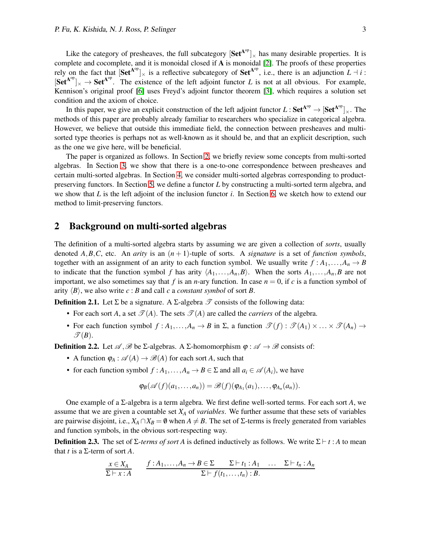Like the category of presheaves, the full subcategory  $\left[Set^{A^{op}}\right]_{\times}$  has many desirable properties. It is complete and cocomplete, and it is monoidal closed if A is monoidal [\[2\]](#page-8-4). The proofs of these properties rely on the fact that  $[\text{Set}^{A^{op}}]_{\times}$  is a reflective subcategory of  $\text{Set}^{A^{op}}$ , i.e., there is an adjunction  $L \dashv i$ :  $[Set^{A^{op}}]_{\times} \to Set^{A^{op}}$ . The existence of the left adjoint functor *L* is not at all obvious. For example, Kennison's original proof [\[6\]](#page-8-5) uses Freyd's adjoint functor theorem [\[3\]](#page-8-6), which requires a solution set condition and the axiom of choice.

In this paper, we give an explicit construction of the left adjoint functor  $L: Set^{A^{op}} \to [Set^{A^{op}}]_{\times}$ . The methods of this paper are probably already familiar to researchers who specialize in categorical algebra. However, we believe that outside this immediate field, the connection between presheaves and multisorted type theories is perhaps not as well-known as it should be, and that an explicit description, such as the one we give here, will be beneficial.

The paper is organized as follows. In Section [2,](#page-2-0) we briefly review some concepts from multi-sorted algebras. In Section [3,](#page-3-0) we show that there is a one-to-one correspondence between presheaves and certain multi-sorted algebras. In Section [4,](#page-4-0) we consider multi-sorted algebras corresponding to productpreserving functors. In Section [5,](#page-4-1) we define a functor *L* by constructing a multi-sorted term algebra, and we show that *L* is the left adjoint of the inclusion functor *i*. In Section [6,](#page-7-0) we sketch how to extend our method to limit-preserving functors.

## <span id="page-2-0"></span>2 Background on multi-sorted algebras

The definition of a multi-sorted algebra starts by assuming we are given a collection of *sorts*, usually denoted  $A, B, C$ , etc. An *arity* is an  $(n + 1)$ -tuple of sorts. A *signature* is a set of *function symbols*, together with an assignment of an arity to each function symbol. We usually write  $f : A_1, \ldots, A_n \to B$ to indicate that the function symbol *f* has arity  $\langle A_1, \ldots, A_n, B \rangle$ . When the sorts  $A_1, \ldots, A_n, B$  are not important, we also sometimes say that  $f$  is an *n*-ary function. In case  $n = 0$ , if  $c$  is a function symbol of arity  $\langle B \rangle$ , we also write  $c : B$  and call *c* a *constant symbol* of sort *B*.

**Definition 2.1.** Let  $\Sigma$  be a signature. A  $\Sigma$ -algebra  $\mathscr T$  consists of the following data:

- For each sort *A*, a set  $\mathcal{T}(A)$ . The sets  $\mathcal{T}(A)$  are called the *carriers* of the algebra.
- For each function symbol  $f : A_1, \ldots, A_n \to B$  in  $\Sigma$ , a function  $\mathscr{T}(f) : \mathscr{T}(A_1) \times \ldots \times \mathscr{T}(A_n) \to$  $\mathscr{T}(B)$ .

**Definition 2.2.** Let  $\mathcal{A}, \mathcal{B}$  be Σ-algebras. A Σ-homomorphism  $\varphi : \mathcal{A} \to \mathcal{B}$  consists of:

- A function  $\varphi_A : \mathcal{A}(A) \to \mathcal{B}(A)$  for each sort *A*, such that
- for each function symbol  $f : A_1, \ldots, A_n \to B \in \Sigma$  and all  $a_i \in \mathcal{A}(A_i)$ , we have

$$
\varphi_B(\mathscr{A}(f)(a_1,\ldots,a_n))=\mathscr{B}(f)(\varphi_{A_1}(a_1),\ldots,\varphi_{A_n}(a_n)).
$$

One example of a Σ-algebra is a term algebra. We first define well-sorted terms. For each sort *A*, we assume that we are given a countable set *X<sup>A</sup>* of *variables*. We further assume that these sets of variables are pairwise disjoint, i.e.,  $X_A \cap X_B = \emptyset$  when  $A \neq B$ . The set of  $\Sigma$ -terms is freely generated from variables and function symbols, in the obvious sort-respecting way.

**Definition 2.3.** The set of  $\Sigma$ -terms of sort A is defined inductively as follows. We write  $\Sigma \vdash t : A$  to mean that  $t$  is a  $\Sigma$ -term of sort  $A$ .

$$
\frac{x \in X_A}{\Sigma \vdash x:A} \qquad \frac{f:A_1,\ldots,A_n \to B \in \Sigma \qquad \Sigma \vdash t_1:A_1 \quad \ldots \quad \Sigma \vdash t_n:A_n}{\Sigma \vdash f(t_1,\ldots,t_n):B}.
$$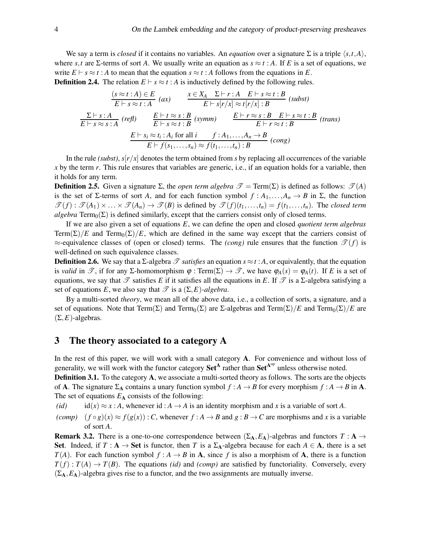We say a term is *closed* if it contains no variables. An *equation* over a signature  $\Sigma$  is a triple  $\langle s, t, A \rangle$ , where *s*,*t* are Σ-terms of sort *A*. We usually write an equation as  $s \approx t : A$ . If *E* is a set of equations, we write  $E \vdash s \approx t : A$  to mean that the equation  $s \approx t : A$  follows from the equations in *E*. **Definition 2.4.** The relation  $E \vdash s \approx t : A$  is inductively defined by the following rules.

$$
\frac{(s \approx t:A) \in E}{E \vdash s \approx t:A} \quad (ax) \qquad \frac{x \in X_A \quad \Sigma \vdash r:A \quad E \vdash s \approx t:B}{E \vdash s[r/x] \approx t[r/x]:B} \quad (subst)
$$
\n
$$
\frac{\Sigma \vdash s:A}{E \vdash s \approx s:A} \quad (refl) \qquad \frac{E \vdash t \approx s:B}{E \vdash s \approx t:B} \quad (symm) \qquad \frac{E \vdash r \approx s:B \quad E \vdash s \approx t:B}{E \vdash r \approx t:B} \quad (trans)
$$
\n
$$
\frac{E \vdash s_i \approx t_i:A_i \text{ for all } i \qquad f:A_1,\ldots,A_n \to B}{E \vdash f(s_1,\ldots,s_n) \approx f(t_1,\ldots,t_n):B} \quad (cong)
$$

In the rule *(subst)*,  $s[r/x]$  denotes the term obtained from *s* by replacing all occurrences of the variable *x* by the term *r*. This rule ensures that variables are generic, i.e., if an equation holds for a variable, then it holds for any term.

**Definition 2.5.** Given a signature  $\Sigma$ , the *open term algebra*  $\mathcal{T} = \text{Term}(\Sigma)$  is defined as follows:  $\mathcal{T}(A)$ is the set of  $\Sigma$ -terms of sort *A*, and for each function symbol  $f : A_1, \ldots, A_n \to B$  in  $\Sigma$ , the function  $\mathscr{T}(f) : \mathscr{T}(A_1) \times \ldots \times \mathscr{T}(A_n) \to \mathscr{T}(B)$  is defined by  $\mathscr{T}(f)(t_1,\ldots,t_n) = f(t_1,\ldots,t_n)$ . The *closed term algebra* Term<sub>0</sub>( $\Sigma$ ) is defined similarly, except that the carriers consist only of closed terms.

If we are also given a set of equations *E*, we can define the open and closed *quotient term algebras* Term( $\Sigma$ )/*E* and Term<sub>0</sub>( $\Sigma$ )/*E*, which are defined in the same way except that the carriers consist of  $\approx$ -equivalence classes of (open or closed) terms. The *(cong)* rule ensures that the function  $\mathcal{T}(f)$  is well-defined on such equivalence classes.

**Definition 2.6.** We say that a  $\Sigma$ -algebra  $\mathscr T$  *satisfies* an equation  $s \approx t : A$ , or equivalently, that the equation is *valid* in  $\mathcal{T}$ , if for any Σ-homomorphism  $\varphi : \text{Term}(\Sigma) \to \mathcal{T}$ , we have  $\varphi_A(s) = \varphi_A(t)$ . If *E* is a set of equations, we say that  $\mathscr T$  satisfies *E* if it satisfies all the equations in *E*. If  $\mathscr T$  is a  $\Sigma$ -algebra satisfying a set of equations *E*, we also say that  $\mathscr T$  is a  $(\Sigma, E)$ -algebra.

By a multi-sorted *theory*, we mean all of the above data, i.e., a collection of sorts, a signature, and a set of equations. Note that  $Term(\Sigma)$  and  $Term_0(\Sigma)$  are  $\Sigma$ -algebras and  $Term(\Sigma)/E$  and  $Term_0(\Sigma)/E$  are  $(\Sigma, E)$ -algebras.

## <span id="page-3-0"></span>3 The theory associated to a category A

In the rest of this paper, we will work with a small category A. For convenience and without loss of generality, we will work with the functor category  $\mathbf{Set}^{\mathbf{A}}$  rather than  $\mathbf{Set}^{\mathbf{A}^{op}}$  unless otherwise noted.

<span id="page-3-2"></span>**Definition 3.1.** To the category **A**, we associate a multi-sorted theory as follows. The sorts are the objects of **A**. The signature  $\Sigma_A$  contains a unary function symbol  $f : A \rightarrow B$  for every morphism  $f : A \rightarrow B$  in **A**. The set of equations  $E_A$  consists of the following:

*(id)* id(*x*)  $\approx x : A$ , whenever id :  $A \rightarrow A$  is an identity morphism and *x* is a variable of sort *A*.

*(comp)*  $(f \circ g)(x) \approx f(g(x))$ : *C*, whenever  $f : A \rightarrow B$  and  $g : B \rightarrow C$  are morphisms and *x* is a variable of sort *A*.

<span id="page-3-1"></span>**Remark 3.2.** There is a one-to-one correspondence between  $(\Sigma_A, E_A)$ -algebras and functors  $T : A \rightarrow$ Set. Indeed, if  $T : A \to Set$  is functor, then *T* is a  $\Sigma_A$ -algebra because for each  $A \in A$ , there is a set *T*(*A*). For each function symbol  $f : A \rightarrow B$  in **A**, since *f* is also a morphism of **A**, there is a function  $T(f)$ :  $T(A) \rightarrow T(B)$ . The equations *(id)* and *(comp)* are satisfied by functoriality. Conversely, every  $(\Sigma_A, E_A)$ -algebra gives rise to a functor, and the two assignments are mutually inverse.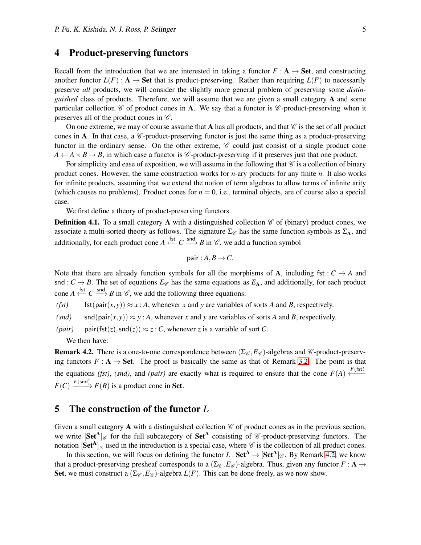#### <span id="page-4-0"></span>4 Product-preserving functors

Recall from the introduction that we are interested in taking a functor  $F : A \rightarrow$  **Set**, and constructing another functor  $L(F)$ : A  $\rightarrow$  Set that is product-preserving. Rather than requiring  $L(F)$  to necessarily preserve *all* products, we will consider the slightly more general problem of preserving some *distinguished* class of products. Therefore, we will assume that we are given a small category A and some particular collection  $\mathscr C$  of product cones in A. We say that a functor is  $\mathscr C$ -product-preserving when it preserves all of the product cones in  $\mathscr{C}$ .

On one extreme, we may of course assume that A has all products, and that  $\mathscr{C}$  is the set of all product cones in A. In that case, a  $\mathscr C$ -product-preserving functor is just the same thing as a product-preserving functor in the ordinary sense. On the other extreme,  $\mathscr C$  could just consist of a single product cone  $A \leftarrow A \times B \rightarrow B$ , in which case a functor is  $\mathscr{C}$ -product-preserving if it preserves just that one product.

For simplicity and ease of exposition, we will assume in the following that  $\mathscr C$  is a collection of binary product cones. However, the same construction works for *n*-ary products for any finite *n*. It also works for infinite products, assuming that we extend the notion of term algebras to allow terms of infinite arity (which causes no problems). Product cones for  $n = 0$ , i.e., terminal objects, are of course also a special case.

We first define a theory of product-preserving functors.

<span id="page-4-3"></span>**Definition 4.1.** To a small category A with a distinguished collection  $\mathscr{C}$  of (binary) product cones, we associate a multi-sorted theory as follows. The signature  $\Sigma_{\mathscr{C}}$  has the same function symbols as  $\Sigma_A$ , and additionally, for each product cone  $A \stackrel{\text{fst}}{\leftarrow} C \stackrel{\text{snd}}{\longrightarrow} B$  in  $\mathscr{C}$ , we add a function symbol

$$
pair: A, B \to C.
$$

Note that there are already function symbols for all the morphisms of **A**, including fst :  $C \rightarrow A$  and snd :  $C \rightarrow B$ . The set of equations  $E_{\mathscr{C}}$  has the same equations as  $E_A$ , and additionally, for each product cone  $A \stackrel{\text{fst}}{\longleftrightarrow} C \stackrel{\text{snd}}{\longrightarrow} B$  in  $\mathcal{C}$ , we add the following three equations:

*(fst)* fst(pair $(x, y)$ )  $\approx x : A$ , whenever *x* and *y* are variables of sorts *A* and *B*, respectively.

*(snd)* snd(pair $(x, y) \approx y : A$ , whenever *x* and *y* are variables of sorts *A* and *B*, respectively.

*(pair)* pair(fst(*z*),snd(*z*))  $\approx$  *z* : *C*, whenever *z* is a variable of sort *C*. We then have:

<span id="page-4-2"></span>**Remark 4.2.** There is a one-to-one correspondence between  $(\Sigma_{\mathscr{C}}, E_{\mathscr{C}})$ -algebras and  $\mathscr{C}$ -product-preserving functors  $F : A \rightarrow Set$ . The proof is basically the same as that of Remark [3.2.](#page-3-1) The point is that the equations *(fst)*, *(snd)*, and *(pair)* are exactly what is required to ensure that the cone  $F(A) \leftarrow F(f(t))$  $F(C) \xrightarrow{F(\text{snd})} F(B)$  is a product cone in **Set**.

#### <span id="page-4-1"></span>5 The construction of the functor *L*

Given a small category A with a distinguished collection  $\mathscr C$  of product cones as in the previous section, we write  $[Set^A]_{\mathscr{C}}$  for the full subcategory of  $Set^A$  consisting of  $\mathscr{C}$ -product-preserving functors. The notation  $[Set^A]_{\times}$  used in the introduction is a special case, where  $\mathscr C$  is the collection of all product cones.

In this section, we will focus on defining the functor  $L: Set^{A} \rightarrow [Set^{A}]_{\mathscr{C}}$ . By Remark [4.2,](#page-4-2) we know that a product-preserving presheaf corresponds to a  $(\Sigma_{\mathscr{C}}, E_{\mathscr{C}})$ -algebra. Thus, given any functor  $F : A \rightarrow$ Set, we must construct a  $(\Sigma_{\mathscr{C}}, E_{\mathscr{C}})$ -algebra  $L(F)$ . This can be done freely, as we now show.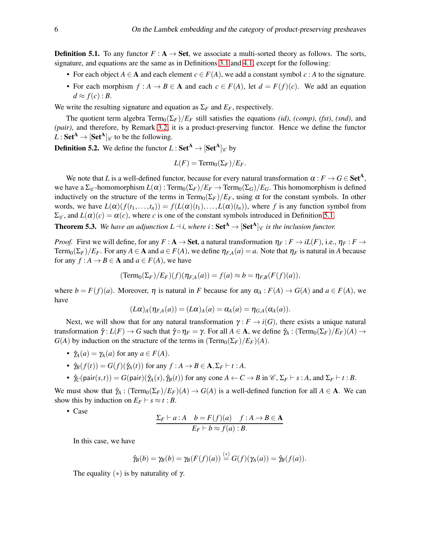<span id="page-5-0"></span>**Definition 5.1.** To any functor  $F : A \rightarrow Set$ , we associate a multi-sorted theory as follows. The sorts, signature, and equations are the same as in Definitions [3.1](#page-3-2) and [4.1,](#page-4-3) except for the following:

- For each object  $A \in \mathbf{A}$  and each element  $c \in F(A)$ , we add a constant symbol  $c : A$  to the signature.
- For each morphism  $f : A \to B \in \mathbf{A}$  and each  $c \in F(A)$ , let  $d = F(f)(c)$ . We add an equation  $d \approx f(c)$ : *B*.

We write the resulting signature and equation as  $\Sigma_F$  and  $E_F$ , respectively.

The quotient term algebra  $Term_0(\Sigma_F)/E_F$  still satisfies the equations *(id)*, *(comp)*, *(fst)*, *(snd)*, and *(pair)*, and therefore, by Remark [3.2,](#page-3-1) it is a product-preserving functor. Hence we define the functor  $L: Set^{A} \rightarrow [Set^{A}]_{\mathscr{C}}$  to be the following.

<span id="page-5-1"></span>**Definition 5.2.** We define the functor  $L: \mathbf{Set}^{\mathbf{A}} \to [\mathbf{Set}^{\mathbf{A}}]_{\mathscr{C}}$  by

$$
L(F) = \mathrm{Term}_0(\Sigma_F)/E_F.
$$

We note that *L* is a well-defined functor, because for every natural transformation  $\alpha : F \to G \in \mathbf{Set}^{\mathbf{A}},$ we have a  $\Sigma_{\mathscr{C}}$ -homomorphism  $L(\alpha)$ : Term<sub>0</sub>( $\Sigma_F$ )/ $E_F \to \text{Term}_0(\Sigma_G)/E_G$ . This homomorphism is defined inductively on the structure of the terms in Term<sub>0</sub>( $\Sigma_F$ )/ $E_F$ , using  $\alpha$  for the constant symbols. In other words, we have  $L(\alpha)(f(t_1,...,t_n)) = f(L(\alpha)(t_1),...,L(\alpha)(t_n))$ , where f is any function symbol from  $\Sigma_{\mathscr{C}}$ , and  $L(\alpha)(c) = \alpha(c)$ , where *c* is one of the constant symbols introduced in Definition [5.1.](#page-5-0)

<span id="page-5-2"></span>**Theorem 5.3.** We have an adjunction  $L \dashv i$ , where  $i : Set^{A} \rightarrow [Set^{A}]_{\mathscr{C}}$  is the inclusion functor.

*Proof.* First we will define, for any  $F : A \to Set$ , a natural transformation  $\eta_F : F \to iL(F)$ , i.e.,  $\eta_F : F \to F$  $Term_0(\Sigma_F)/E_F$ . For any  $A \in \mathbf{A}$  and  $a \in F(A)$ , we define  $\eta_{FA}(a) = a$ . Note that  $\eta_F$  is natural in *A* because for any  $f : A \to B \in A$  and  $a \in F(A)$ , we have

$$
(\text{Term}_0(\Sigma_F)/E_F)(f)(\eta_{F,A}(a)) = f(a) \approx b = \eta_{F,B}(F(f)(a)),
$$

where  $b = F(f)(a)$ . Moreover,  $\eta$  is natural in *F* because for any  $\alpha_A : F(A) \to G(A)$  and  $a \in F(A)$ , we have

$$
(L\alpha)_A(\eta_{F,A}(a))=(L\alpha)_A(a)=\alpha_A(a)=\eta_{G,A}(\alpha_A(a)).
$$

Next, we will show that for any natural transformation  $\gamma : F \to i(G)$ , there exists a unique natural transformation  $\hat{\gamma}: L(F) \to G$  such that  $\hat{\gamma} \circ \eta_F = \gamma$ . For all  $A \in \mathbf{A}$ , we define  $\hat{\gamma}_A: (\text{Term}_0(\Sigma_F)/E_F)(A) \to$ *G*(*A*) by induction on the structure of the terms in  $(Term_0(\Sigma_F)/E_F)(A)$ .

- $\hat{\gamma}_A(a) = \gamma_A(a)$  for any  $a \in F(A)$ .
- $\hat{\gamma}_B(f(t)) = G(f)(\hat{\gamma}_A(t))$  for any  $f : A \rightarrow B \in \mathbf{A}, \Sigma_F \vdash t : A$ .
- $\hat{\gamma}_C(\text{pair}(s,t)) = G(\text{pair})(\hat{\gamma}_A(s), \hat{\gamma}_B(t))$  for any cone  $A \leftarrow C \rightarrow B$  in  $\mathscr{C}, \Sigma_F \vdash s : A$ , and  $\Sigma_F \vdash t : B$ .

We must show that  $\hat{\gamma}_A$  :  $(Term_0(\Sigma_F)/E_F)(A) \rightarrow G(A)$  is a well-defined function for all  $A \in \mathbf{A}$ . We can show this by induction on  $E_F \vdash s \approx t : B$ .

• Case

$$
\frac{\Sigma_F \vdash a:A \quad b = F(f)(a) \quad f:A \to B \in \mathbf{A}}{E_F \vdash b \approx f(a):B}.
$$

In this case, we have

$$
\hat{\gamma}_B(b) = \gamma_B(b) = \gamma_B(F(f)(a)) \stackrel{(*)}{=} G(f)(\gamma_A(a)) = \hat{\gamma}_B(f(a)).
$$

The equality  $(*)$  is by naturality of  $\gamma$ .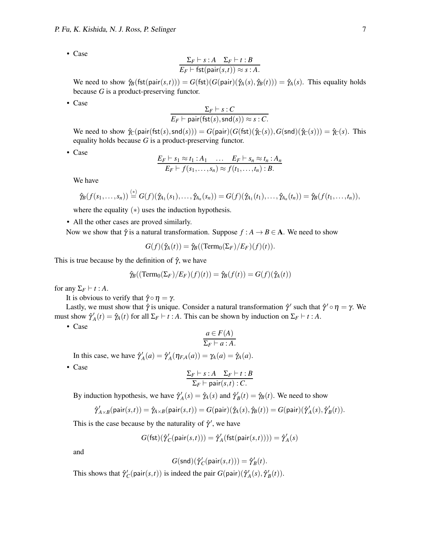• Case

$$
\frac{\Sigma_F \vdash s : A \quad \Sigma_F \vdash t : B}{E_F \vdash \text{fst}(\text{pair}(s,t)) \approx s : A}.
$$

We need to show  $\hat{\gamma}_B(\text{fst}(\text{pair}(s,t))) = G(\text{fst})(G(\text{pair})(\hat{\gamma}_A(s), \hat{\gamma}_B(t))) = \hat{\gamma}_A(s)$ . This equality holds because *G* is a product-preserving functor.

• Case

$$
\frac{\Sigma_F \vdash s : C}{E_F \vdash \mathsf{pair}(\mathsf{fst}(s), \mathsf{snd}(s)) \approx s : C}.
$$

We need to show  $\hat{\gamma}_C(\text{pair}(\text{fst}(s),\text{snd}(s))) = G(\text{pair})(G(\text{fst})(\hat{\gamma}_C(s)),G(\text{snd})(\hat{\gamma}_C(s))) = \hat{\gamma}_C(s)$ . This equality holds because *G* is a product-preserving functor.

• Case

$$
\frac{E_F \vdash s_1 \approx t_1 : A_1 \quad \dots \quad E_F \vdash s_n \approx t_n : A_n}{E_F \vdash f(s_1, \dots, s_n) \approx f(t_1, \dots, t_n) : B}.
$$

We have

$$
\hat{\gamma}_B(f(s_1,\ldots,s_n))\stackrel{(*)}{=}G(f)(\hat{\gamma}_{A_1}(s_1),\ldots,\hat{\gamma}_{A_n}(s_n))=G(f)(\hat{\gamma}_{A_1}(t_1),\ldots,\hat{\gamma}_{A_n}(t_n))=\hat{\gamma}_B(f(t_1,\ldots,t_n)),
$$

where the equality  $(*)$  uses the induction hypothesis.

• All the other cases are proved similarly.

Now we show that  $\hat{\gamma}$  is a natural transformation. Suppose  $f : A \rightarrow B \in \mathbf{A}$ . We need to show

 $G(f)(\hat{\gamma}_A(t)) = \hat{\gamma}_B((\text{Term}_0(\Sigma_F)/E_F)(f)(t)).$ 

This is true because by the definition of  $\hat{\gamma}$ , we have

$$
\hat{\gamma}_B((\text{Term}_0(\Sigma_F)/E_F)(f)(t)) = \hat{\gamma}_B(f(t)) = G(f)(\hat{\gamma}_A(t))
$$

for any  $\Sigma_F \vdash t : A$ .

It is obvious to verify that  $\hat{\gamma} \circ \eta = \gamma$ .

Lastly, we must show that  $\hat{\gamma}$  is unique. Consider a natural transformation  $\hat{\gamma}'$  such that  $\hat{\gamma}' \circ \eta = \gamma$ . We must show  $\hat{\gamma}_A'(t) = \hat{\gamma}_A(t)$  for all  $\Sigma_F \vdash t : A$ . This can be shown by induction on  $\Sigma_F \vdash t : A$ .

• Case

$$
\frac{a \in F(A)}{\Sigma_F \vdash a : A.}
$$

In this case, we have  $\hat{\gamma}_A'(a) = \hat{\gamma}_A'(\eta_{FA}(a)) = \gamma_A(a) = \hat{\gamma}_A(a)$ .

• Case

$$
\frac{\Sigma_F \vdash s : A \quad \Sigma_F \vdash t : B}{\Sigma_F \vdash \text{pair}(s,t) : C}.
$$

By induction hypothesis, we have  $\hat{\gamma}_A'(s) = \hat{\gamma}_A(s)$  and  $\hat{\gamma}_B'(t) = \hat{\gamma}_B(t)$ . We need to show

$$
\hat{\gamma}_{A\times B}'(\mathrm{pair}(s,t))=\hat{\gamma}_{A\times B}(\mathrm{pair}(s,t))=G(\mathrm{pair})(\hat{\gamma}_{\!A}(s),\hat{\gamma}_{\!B}(t))=G(\mathrm{pair})(\hat{\gamma}'_{\!A}(s),\hat{\gamma}'_{\!B}(t)).
$$

This is the case because by the naturality of  $\hat{\gamma}'$ , we have

$$
G(\mathsf{fst})(\hat{\gamma}'_{C}(\mathsf{pair}(s,t))) = \hat{\gamma}'_{A}(\mathsf{fst}(\mathsf{pair}(s,t)))) = \hat{\gamma}'_{A}(s)
$$

and

$$
G(\mathsf{snd})(\hat{\gamma}'_C(\mathsf{pair}(s, t))) = \hat{\gamma}'_B(t).
$$

This shows that  $\hat{\gamma}'_C(\text{pair}(s,t))$  is indeed the pair  $G(\text{pair})(\hat{\gamma}'_A(s), \hat{\gamma}'_B(t))$ .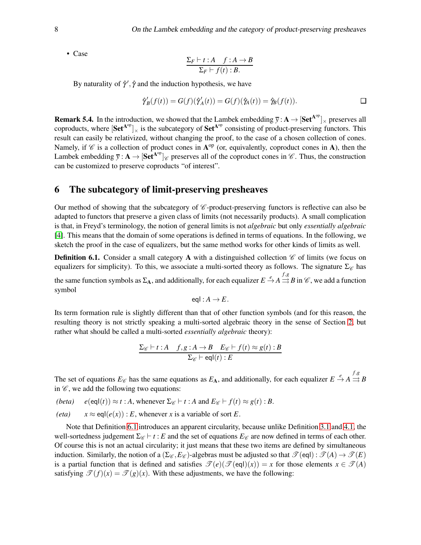• Case

$$
\frac{\Sigma_F \vdash t : A \quad f : A \to B}{\Sigma_F \vdash f(t) : B}.
$$

By naturality of  $\hat{\gamma}', \hat{\gamma}$  and the induction hypothesis, we have

$$
\hat{\gamma}'_B(f(t)) = G(f)(\hat{\gamma}'_A(t)) = G(f)(\hat{\gamma}_A(t)) = \hat{\gamma}_B(f(t)). \qquad \qquad \Box
$$

**Remark 5.4.** In the introduction, we showed that the Lambek embedding  $\overline{y}$ :  $A \to [Set^{A^{op}}]_{\times}$  preserves all coproducts, where  $[Set^{A^{op}}]_{\times}$  is the subcategory of  $Set^{A^{op}}$  consisting of product-preserving functors. This result can easily be relativized, without changing the proof, to the case of a chosen collection of cones. Namely, if  $\mathscr C$  is a collection of product cones in  $A^{op}$  (or, equivalently, coproduct cones in A), then the Lambek embedding  $\overline{y}$ :  $A \to [Set^{A^{op}}]$  *g* preserves all of the coproduct cones in *C*. Thus, the construction can be customized to preserve coproducts "of interest".

## <span id="page-7-0"></span>6 The subcategory of limit-preserving presheaves

Our method of showing that the subcategory of  $\mathscr C$ -product-preserving functors is reflective can also be adapted to functors that preserve a given class of limits (not necessarily products). A small complication is that, in Freyd's terminology, the notion of general limits is not *algebraic* but only *essentially algebraic* [\[4\]](#page-8-7). This means that the domain of some operations is defined in terms of equations. In the following, we sketch the proof in the case of equalizers, but the same method works for other kinds of limits as well.

<span id="page-7-1"></span>**Definition 6.1.** Consider a small category **A** with a distinguished collection  $\mathscr{C}$  of limits (we focus on equalizers for simplicity). To this, we associate a multi-sorted theory as follows. The signature  $\Sigma_{\mathscr{C}}$  has

the same function symbols as  $\Sigma_A$ , and additionally, for each equalizer  $E \stackrel{e}{\to} A \stackrel{f,g}{\rightrightarrows} B$  in  $\mathscr{C}$ , we add a function symbol

$$
\operatorname{eq} I:A\to E.
$$

Its term formation rule is slightly different than that of other function symbols (and for this reason, the resulting theory is not strictly speaking a multi-sorted algebraic theory in the sense of Section [2,](#page-2-0) but rather what should be called a multi-sorted *essentially algebraic* theory):

$$
\frac{\Sigma_{\mathscr{C}} \vdash t : A \quad f, g : A \to B \quad E_{\mathscr{C}} \vdash f(t) \approx g(t) : B}{\Sigma_{\mathscr{C}} \vdash \text{eql}(t) : E}
$$

The set of equations  $E_{\mathscr{C}}$  has the same equations as  $E_A$ , and additionally, for each equalizer  $E \stackrel{e}{\rightarrow} A \stackrel{f,g}{\rightrightarrows} B$ in  $\mathscr{C}$ , we add the following two equations:

- *(beta)*  $e(\text{eql}(t)) \approx t : A$ , whenever  $\Sigma_{\mathscr{C}} \vdash t : A$  and  $E_{\mathscr{C}} \vdash f(t) \approx g(t) : B$ .
- *(eta)*  $x \approx \text{eq}l(e(x))$ : *E*, whenever *x* is a variable of sort *E*.

Note that Definition [6.1](#page-7-1) introduces an apparent circularity, because unlike Definition [3.1](#page-3-2) and [4.1,](#page-4-3) the well-sortedness judgement  $\Sigma_{\mathscr{C}}$  ⊢ *t* : *E* and the set of equations  $E_{\mathscr{C}}$  are now defined in terms of each other. Of course this is not an actual circularity; it just means that these two items are defined by simultaneous induction. Similarly, the notion of a  $(\Sigma_{\mathscr{C}}, E_{\mathscr{C}})$ -algebras must be adjusted so that  $\mathscr{T}(\text{eql}) : \mathscr{T}(A) \to \mathscr{T}(E)$ is a partial function that is defined and satisfies  $\mathcal{T}(e)(\mathcal{T}(eql)(x)) = x$  for those elements  $x \in \mathcal{T}(A)$ satisfying  $\mathcal{T}(f)(x) = \mathcal{T}(g)(x)$ . With these adjustments, we have the following: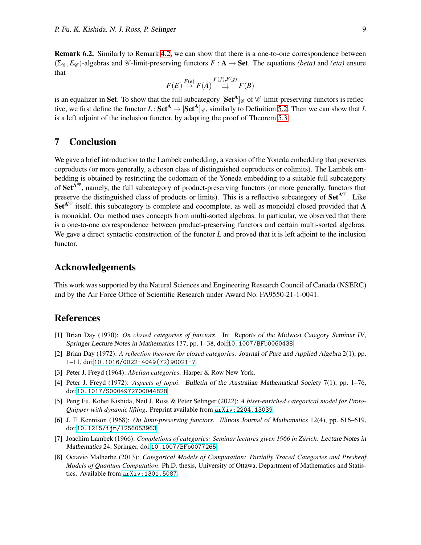Remark 6.2. Similarly to Remark [4.2,](#page-4-2) we can show that there is a one-to-one correspondence between  $(\Sigma_{\mathscr{C}}, E_{\mathscr{C}})$ -algebras and  $\mathscr{C}$ -limit-preserving functors  $F : A \to$  Set. The equations *(beta)* and *(eta)* ensure that

$$
F(E) \stackrel{F(e)}{\to} F(A) \stackrel{F(f), F(g)}{\to} F(B)
$$

is an equalizer in Set. To show that the full subcategory  $[Set^A]_{\mathscr{C}}$  of  $\mathscr{C}$ -limit-preserving functors is reflective, we first define the functor  $L:$  Set<sup>A</sup>  $\rightarrow$  [Set<sup>A</sup>] $_{\mathscr{C}}$ , similarly to Definition [5.2.](#page-5-1) Then we can show that *L* is a left adjoint of the inclusion functor, by adapting the proof of Theorem [5.3.](#page-5-2)

# 7 Conclusion

We gave a brief introduction to the Lambek embedding, a version of the Yoneda embedding that preserves coproducts (or more generally, a chosen class of distinguished coproducts or colimits). The Lambek embedding is obtained by restricting the codomain of the Yoneda embedding to a suitable full subcategory of  $Set^{A^{op}}$ , namely, the full subcategory of product-preserving functors (or more generally, functors that preserve the distinguished class of products or limits). This is a reflective subcategory of  $Set^{A^{op}}$ . Like  $Set^{A^{op}}$  itself, this subcategory is complete and cocomplete, as well as monoidal closed provided that A is monoidal. Our method uses concepts from multi-sorted algebras. In particular, we observed that there is a one-to-one correspondence between product-preserving functors and certain multi-sorted algebras. We gave a direct syntactic construction of the functor *L* and proved that it is left adjoint to the inclusion functor.

#### Acknowledgements

This work was supported by the Natural Sciences and Engineering Research Council of Canada (NSERC) and by the Air Force Office of Scientific Research under Award No. FA9550-21-1-0041.

# <span id="page-8-0"></span>References

- [1] Brian Day (1970): *On closed categories of functors*. In: Reports of the Midwest Category Seminar IV, Springer Lecture Notes in Mathematics 137, pp. 1–38, doi:[10.1007/BFb0060438](http://dx.doi.org/10.1007/BFb0060438).
- <span id="page-8-4"></span>[2] Brian Day (1972): *A reflection theorem for closed categories*. Journal of Pure and Applied Algebra 2(1), pp. 1–11, doi:[10.1016/0022-4049\(72\)90021-7](http://dx.doi.org/10.1016/0022-4049(72)90021-7).
- <span id="page-8-7"></span><span id="page-8-6"></span>[3] Peter J. Freyd (1964): *Abelian categories*. Harper & Row New York.
- [4] Peter J. Freyd (1972): *Aspects of topoi*. Bulletin of the Australian Mathematical Society 7(1), pp. 1–76, doi:[10.1017/S0004972700044828](http://dx.doi.org/10.1017/S0004972700044828).
- <span id="page-8-1"></span>[5] Peng Fu, Kohei Kishida, Neil J. Ross & Peter Selinger (2022): *A biset-enriched categorical model for Proto-Quipper with dynamic lifting*. Preprint available from [arXiv:2204.13039](http://arxiv.org/abs/2204.13039).
- <span id="page-8-5"></span>[6] J. F. Kennison (1968): *On limit-preserving functors*. Illinois Journal of Mathematics 12(4), pp. 616–619, doi:[10.1215/ijm/1256053963](http://dx.doi.org/10.1215/ijm/1256053963).
- <span id="page-8-3"></span>[7] Joachim Lambek (1966): *Completions of categories: Seminar lectures given 1966 in Zürich*. Lecture Notes in Mathematics 24, Springer, doi:[10.1007/BFb0077265](http://dx.doi.org/10.1007/BFb0077265).
- <span id="page-8-2"></span>[8] Octavio Malherbe (2013): *Categorical Models of Computation: Partially Traced Categories and Presheaf Models of Quantum Computation*. Ph.D. thesis, University of Ottawa, Department of Mathematics and Statistics. Available from [arXiv:1301.5087](http://arxiv.org/abs/1301.5087).